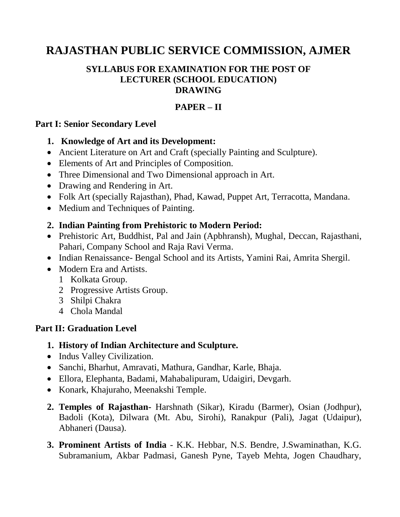# **RAJASTHAN PUBLIC SERVICE COMMISSION, AJMER**

#### **SYLLABUS FOR EXAMINATION FOR THE POST OF LECTURER (SCHOOL EDUCATION) DRAWING**

# **PAPER – II**

#### **Part I: Senior Secondary Level**

#### **1. Knowledge of Art and its Development:**

- Ancient Literature on Art and Craft (specially Painting and Sculpture).
- Elements of Art and Principles of Composition.
- Three Dimensional and Two Dimensional approach in Art.
- Drawing and Rendering in Art.
- Folk Art (specially Rajasthan), Phad, Kawad, Puppet Art, Terracotta, Mandana.
- Medium and Techniques of Painting.

## **2. Indian Painting from Prehistoric to Modern Period:**

- Prehistoric Art, Buddhist, Pal and Jain (Apbhransh), Mughal, Deccan, Rajasthani, Pahari, Company School and Raja Ravi Verma.
- Indian Renaissance- Bengal School and its Artists, Yamini Rai, Amrita Shergil.
- Modern Era and Artists.
	- 1 Kolkata Group.
	- 2 Progressive Artists Group.
	- 3 Shilpi Chakra
	- 4 Chola Mandal

## **Part II: Graduation Level**

- **1. History of Indian Architecture and Sculpture.**
- Indus Valley Civilization.
- Sanchi, Bharhut, Amravati, Mathura, Gandhar, Karle, Bhaja.
- Ellora, Elephanta, Badami, Mahabalipuram, Udaigiri, Devgarh.
- Konark, Khajuraho, Meenakshi Temple.
- **2. Temples of Rajasthan-** Harshnath (Sikar), Kiradu (Barmer), Osian (Jodhpur), Badoli (Kota), Dilwara (Mt. Abu, Sirohi), Ranakpur (Pali), Jagat (Udaipur), Abhaneri (Dausa).
- **3. Prominent Artists of India** K.K. Hebbar, N.S. Bendre, J.Swaminathan, K.G. Subramanium, Akbar Padmasi, Ganesh Pyne, Tayeb Mehta, Jogen Chaudhary,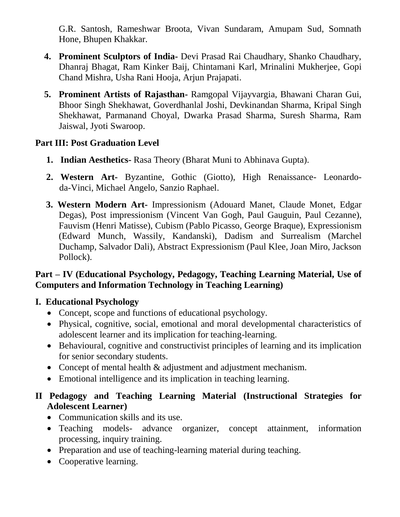G.R. Santosh, Rameshwar Broota, Vivan Sundaram, Amupam Sud, Somnath Hone, Bhupen Khakkar.

- **4. Prominent Sculptors of India-** Devi Prasad Rai Chaudhary, Shanko Chaudhary, Dhanraj Bhagat, Ram Kinker Baij, Chintamani Karl, Mrinalini Mukherjee, Gopi Chand Mishra, Usha Rani Hooja, Arjun Prajapati.
- **5. Prominent Artists of Rajasthan-** Ramgopal Vijayvargia, Bhawani Charan Gui, Bhoor Singh Shekhawat, Goverdhanlal Joshi, Devkinandan Sharma, Kripal Singh Shekhawat, Parmanand Choyal, Dwarka Prasad Sharma, Suresh Sharma, Ram Jaiswal, Jyoti Swaroop.

## **Part III: Post Graduation Level**

- **1. Indian Aesthetics-** Rasa Theory (Bharat Muni to Abhinava Gupta).
- **2. Western Art-** Byzantine, Gothic (Giotto), High Renaissance- Leonardoda-Vinci, Michael Angelo, Sanzio Raphael.
- **3. Western Modern Art-** Impressionism (Adouard Manet, Claude Monet, Edgar Degas), Post impressionism (Vincent Van Gogh, Paul Gauguin, Paul Cezanne), Fauvism (Henri Matisse), Cubism (Pablo Picasso, George Braque), Expressionism (Edward Munch, Wassily, Kandanski), Dadism and Surrealism (Marchel Duchamp, Salvador Dali), Abstract Expressionism (Paul Klee, Joan Miro, Jackson Pollock).

## **Part – IV (Educational Psychology, Pedagogy, Teaching Learning Material, Use of Computers and Information Technology in Teaching Learning)**

## **I. Educational Psychology**

- Concept, scope and functions of educational psychology.
- Physical, cognitive, social, emotional and moral developmental characteristics of adolescent learner and its implication for teaching-learning.
- Behavioural, cognitive and constructivist principles of learning and its implication for senior secondary students.
- Concept of mental health & adjustment and adjustment mechanism.
- Emotional intelligence and its implication in teaching learning.

## **II Pedagogy and Teaching Learning Material (Instructional Strategies for Adolescent Learner)**

- Communication skills and its use.
- Teaching models- advance organizer, concept attainment, information processing, inquiry training.
- Preparation and use of teaching-learning material during teaching.
- Cooperative learning.